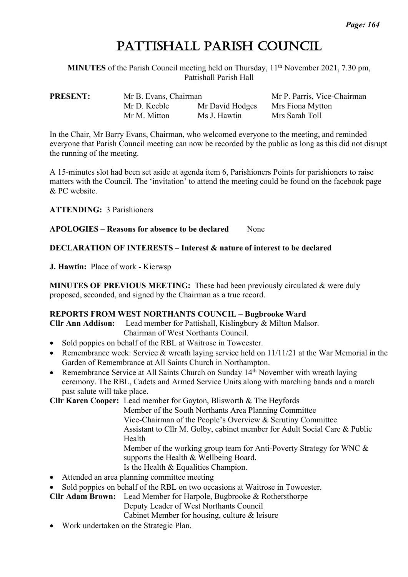# PATTISHALL PARISH COUNCIL

**MINUTES** of the Parish Council meeting held on Thursday,  $11<sup>th</sup>$  November 2021, 7.30 pm, Pattishall Parish Hall

| <b>PRESENT:</b> | Mr B. Evans, Chairman |                 | Mr P. Parris, Vice-Chairman |  |
|-----------------|-----------------------|-----------------|-----------------------------|--|
|                 | Mr D. Keeble          | Mr David Hodges | Mrs Fiona Mytton            |  |
|                 | Mr M. Mitton          | Ms J. Hawtin    | Mrs Sarah Toll              |  |

In the Chair, Mr Barry Evans, Chairman, who welcomed everyone to the meeting, and reminded everyone that Parish Council meeting can now be recorded by the public as long as this did not disrupt the running of the meeting.

A 15-minutes slot had been set aside at agenda item 6, Parishioners Points for parishioners to raise matters with the Council. The 'invitation' to attend the meeting could be found on the facebook page & PC website.

**ATTENDING:** 3 Parishioners

**APOLOGIES – Reasons for absence to be declared** None

# **DECLARATION OF INTERESTS – Interest & nature of interest to be declared**

**J. Hawtin:** Place of work - Kierwsp

**MINUTES OF PREVIOUS MEETING:** These had been previously circulated & were duly proposed, seconded, and signed by the Chairman as a true record.

# **REPORTS FROM WEST NORTHANTS COUNCIL – Bugbrooke Ward**

**Cllr Ann Addison:** Lead member for Pattishall, Kislingbury & Milton Malsor. Chairman of West Northants Council.

- Sold poppies on behalf of the RBL at Waitrose in Towcester.
- Remembrance week: Service & wreath laying service held on 11/11/21 at the War Memorial in the Garden of Remembrance at All Saints Church in Northampton.
- Remembrance Service at All Saints Church on Sunday 14<sup>th</sup> November with wreath laying ceremony. The RBL, Cadets and Armed Service Units along with marching bands and a march past salute will take place.

**Cllr Karen Cooper:** Lead member for Gayton, Blisworth & The Heyfords

Member of the South Northants Area Planning Committee Vice-Chairman of the People's Overview & Scrutiny Committee Assistant to Cllr M. Golby, cabinet member for Adult Social Care & Public Health Member of the working group team for Anti-Poverty Strategy for WNC &

supports the Health & Wellbeing Board.

Is the Health & Equalities Champion.

- Attended an area planning committee meeting
- Sold poppies on behalf of the RBL on two occasions at Waitrose in Towcester.

**Cllr Adam Brown:** Lead Member for Harpole, Bugbrooke & Rothersthorpe

Deputy Leader of West Northants Council

- Cabinet Member for housing, culture & leisure
- Work undertaken on the Strategic Plan.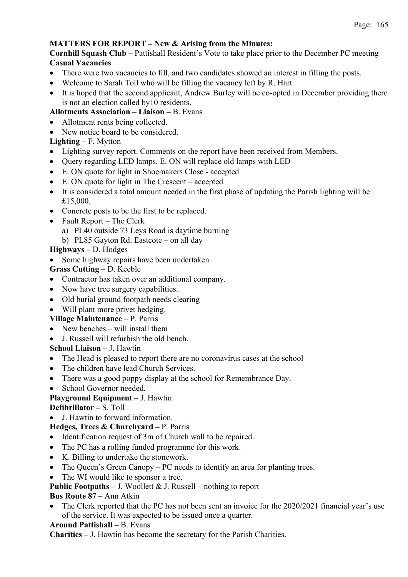# **MATTERS FOR REPORT – New & Arising from the Minutes:**

**Cornhill Squash Club –** Pattishall Resident's Vote to take place prior to the December PC meeting **Casual Vacancies** 

- There were two vacancies to fill, and two candidates showed an interest in filling the posts.
- Welcome to Sarah Toll who will be filling the vacancy left by R. Hart
- It is hoped that the second applicant, Andrew Burley will be co-opted in December providing there is not an election called by10 residents.

## **Allotments Association – Liaison –** B. Evans

- Allotment rents being collected.
- New notice board to be considered.

## **Lighting –** F. Mytton

- Lighting survey report. Comments on the report have been received from Members.
- Ouery regarding LED lamps. E. ON will replace old lamps with LED
- E. ON quote for light in Shoemakers Close accepted
- E. ON quote for light in The Crescent accepted
- It is considered a total amount needed in the first phase of updating the Parish lighting will be £15,000.
- Concrete posts to be the first to be replaced.
- Fault Report The Clerk
	- a) PL40 outside 73 Leys Road is daytime burning
	- b) PL85 Gayton Rd. Eastcote on all day

# **Highways –** D. Hodges

• Some highway repairs have been undertaken

## **Grass Cutting –** D. Keeble

- Contractor has taken over an additional company.
- Now have tree surgery capabilities.
- Old burial ground footpath needs clearing
- Will plant more privet hedging.

## **Village Maintenance** – P. Parris

- New benches will install them
- J. Russell will refurbish the old bench.

## **School Liaison –** J. Hawtin

- The Head is pleased to report there are no coronavirus cases at the school
- The children have lead Church Services.
- There was a good poppy display at the school for Remembrance Day.
- School Governor needed.

# **Playground Equipment –** J. Hawtin

# **Defibrillator –** S. Toll

• J. Hawtin to forward information.

## **Hedges, Trees & Churchyard –** P. Parris

- Identification request of 3m of Church wall to be repaired.
- The PC has a rolling funded programme for this work.
- K. Billing to undertake the stonework.
- The Queen's Green Canopy PC needs to identify an area for planting trees.
- The WI would like to sponsor a tree.

## **Public Footpaths –** J. Woollett & J. Russell – nothing to report

## **Bus Route 87 –** Ann Atkin

The Clerk reported that the PC has not been sent an invoice for the 2020/2021 financial year's use of the service. It was expected to be issued once a quarter.

## **Around Pattishall –** B. Evans

**Charities –** J. Hawtin has become the secretary for the Parish Charities.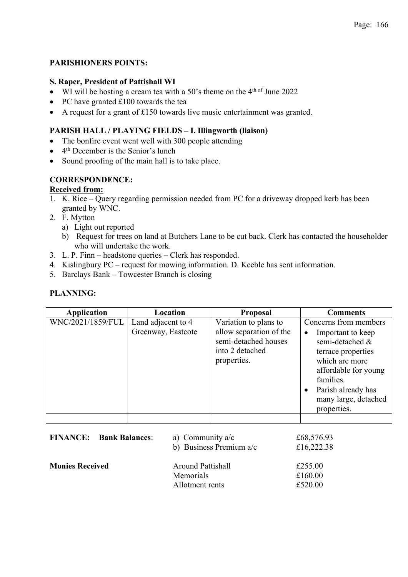# **PARISHIONERS POINTS:**

#### **S. Raper, President of Pattishall WI**

- WI will be hosting a cream tea with a 50's theme on the 4<sup>th of</sup> June 2022
- PC have granted £100 towards the tea
- A request for a grant of £150 towards live music entertainment was granted.

## **PARISH HALL / PLAYING FIELDS – I. Illingworth (liaison)**

- The bonfire event went well with 300 people attending
- $\bullet$  4<sup>th</sup> December is the Senior's lunch
- Sound proofing of the main hall is to take place.

## **CORRESPONDENCE:**

#### **Received from:**

- 1. K. Rice Query regarding permission needed from PC for a driveway dropped kerb has been granted by WNC.
- 2. F. Mytton
	- a) Light out reported
	- b) Request for trees on land at Butchers Lane to be cut back. Clerk has contacted the householder who will undertake the work.
- 3. L. P. Finn headstone queries Clerk has responded.
- 4. Kislingbury PC request for mowing information. D. Keeble has sent information.
- 5. Barclays Bank Towcester Branch is closing

## **PLANNING:**

| <b>Application</b> | Location           | <b>Proposal</b>                                                                   | <b>Comments</b>                                                                                                                                                                             |
|--------------------|--------------------|-----------------------------------------------------------------------------------|---------------------------------------------------------------------------------------------------------------------------------------------------------------------------------------------|
| WNC/2021/1859/FUL  | Land adjacent to 4 | Variation to plans to                                                             | Concerns from members                                                                                                                                                                       |
|                    | Greenway, Eastcote | allow separation of the<br>semi-detached houses<br>into 2 detached<br>properties. | Important to keep<br>$\bullet$<br>semi-detached &<br>terrace properties<br>which are more<br>affordable for young<br>families.<br>Parish already has<br>many large, detached<br>properties. |
|                    |                    |                                                                                   |                                                                                                                                                                                             |

|                        | <b>FINANCE:</b> Bank Balances: | a) Community $a/c$<br>b) Business Premium a/c            | £68,576.93<br>£16,222.38      |
|------------------------|--------------------------------|----------------------------------------------------------|-------------------------------|
| <b>Monies Received</b> |                                | <b>Around Pattishall</b><br>Memorials<br>Allotment rents | £255.00<br>£160.00<br>£520.00 |